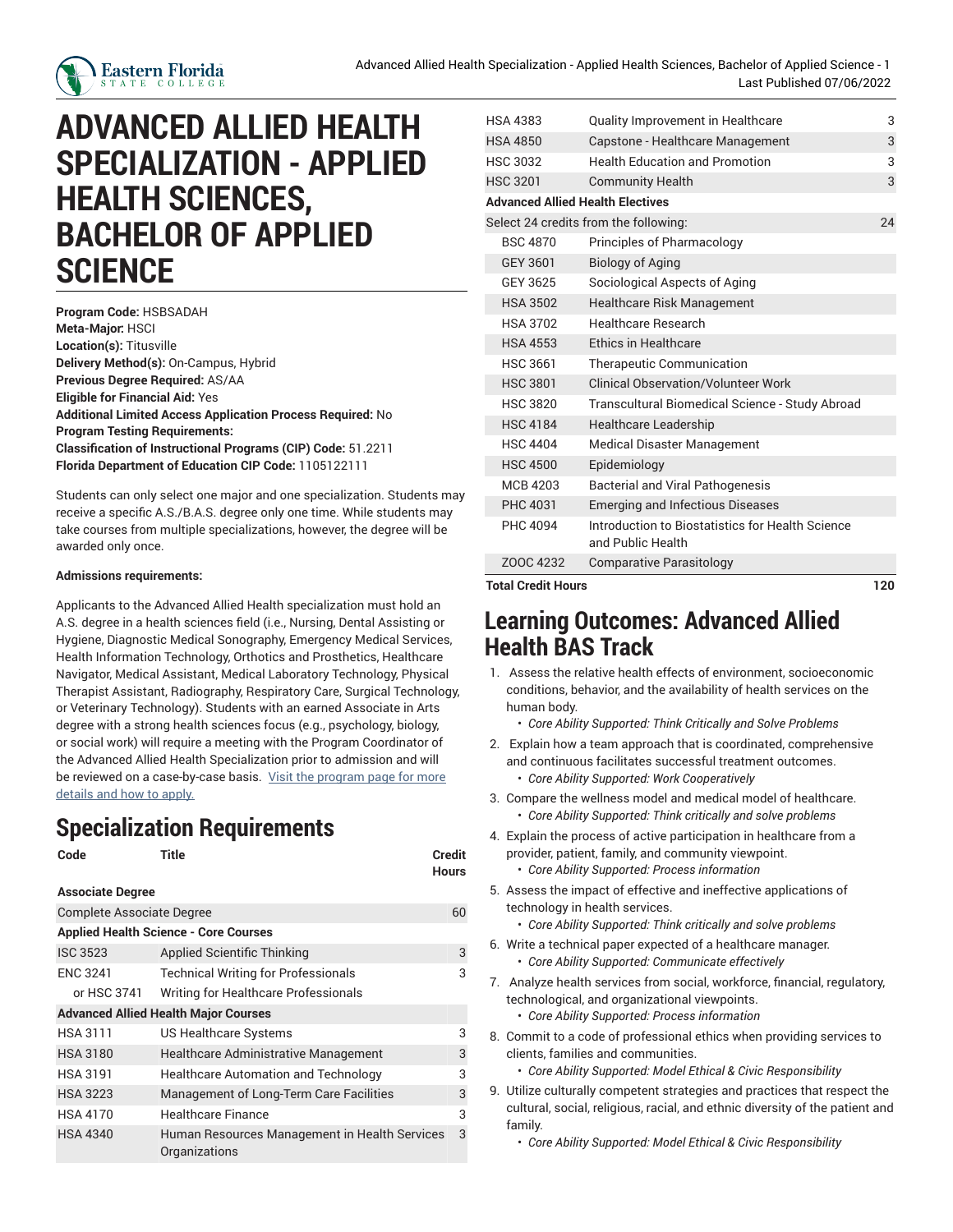

## **ADVANCED ALLIED HEALTH SPECIALIZATION - APPLIED HEALTH SCIENCES, BACHELOR OF APPLIED SCIENCE**

**Program Code:** HSBSADAH **Meta-Major:** HSCI **Location(s):** Titusville **Delivery Method(s):** On-Campus, Hybrid **Previous Degree Required:** AS/AA **Eligible for Financial Aid:** Yes **Additional Limited Access Application Process Required:** No **Program Testing Requirements: Classification of Instructional Programs (CIP) Code:** 51.2211 **Florida Department of Education CIP Code:** 1105122111

Students can only select one major and one specialization. Students may receive a specific A.S./B.A.S. degree only one time. While students may take courses from multiple specializations, however, the degree will be awarded only once.

## **Admissions requirements:**

Applicants to the Advanced Allied Health specialization must hold an A.S. degree in a health sciences field (i.e., Nursing, Dental Assisting or Hygiene, Diagnostic Medical Sonography, Emergency Medical Services, Health Information Technology, Orthotics and Prosthetics, Healthcare Navigator, Medical Assistant, Medical Laboratory Technology, Physical Therapist Assistant, Radiography, Respiratory Care, Surgical Technology, or Veterinary Technology). Students with an earned Associate in Arts degree with a strong health sciences focus (e.g., psychology, biology, or social work) will require a meeting with the Program Coordinator of the Advanced Allied Health Specialization prior to admission and will be reviewed on a case-by-case basis. Visit the [program](https://www.easternflorida.edu/academics/bachelors-degrees/applied-health/advanced-allied-health/) page for more [details](https://www.easternflorida.edu/academics/bachelors-degrees/applied-health/advanced-allied-health/) and how to apply.

## **Specialization Requirements**

**Code Title Credit**

| ------       |
|--------------|
| <b>Hours</b> |

| <b>Associate Degree</b>          |                                                                |    |
|----------------------------------|----------------------------------------------------------------|----|
| <b>Complete Associate Degree</b> |                                                                | 60 |
|                                  | <b>Applied Health Science - Core Courses</b>                   |    |
| <b>ISC 3523</b>                  | <b>Applied Scientific Thinking</b>                             | 3  |
| <b>ENC 3241</b>                  | <b>Technical Writing for Professionals</b>                     | 3  |
| or HSC 3741                      | Writing for Healthcare Professionals                           |    |
|                                  | <b>Advanced Allied Health Major Courses</b>                    |    |
| <b>HSA 3111</b>                  | US Healthcare Systems                                          | 3  |
| <b>HSA 3180</b>                  | <b>Healthcare Administrative Management</b>                    | 3  |
| <b>HSA 3191</b>                  | <b>Healthcare Automation and Technology</b>                    | 3  |
| <b>HSA 3223</b>                  | Management of Long-Term Care Facilities                        | 3  |
| <b>HSA 4170</b>                  | <b>Healthcare Finance</b>                                      | 3  |
| <b>HSA 4340</b>                  | Human Resources Management in Health Services<br>Organizations | 3  |

| <b>HSA 4383</b>                         | Quality Improvement in Healthcare                                     | 3  |
|-----------------------------------------|-----------------------------------------------------------------------|----|
| <b>HSA 4850</b>                         | Capstone - Healthcare Management                                      | 3  |
| <b>HSC 3032</b>                         | <b>Health Education and Promotion</b>                                 | 3  |
| <b>HSC 3201</b>                         | <b>Community Health</b>                                               | 3  |
| <b>Advanced Allied Health Electives</b> |                                                                       |    |
|                                         | Select 24 credits from the following:                                 | 24 |
| <b>BSC 4870</b>                         | Principles of Pharmacology                                            |    |
| GEY 3601                                | <b>Biology of Aging</b>                                               |    |
| GEY 3625                                | Sociological Aspects of Aging                                         |    |
| <b>HSA 3502</b>                         | Healthcare Risk Management                                            |    |
| <b>HSA 3702</b>                         | <b>Healthcare Research</b>                                            |    |
| <b>HSA 4553</b>                         | <b>Ethics in Healthcare</b>                                           |    |
| <b>HSC 3661</b>                         | Therapeutic Communication                                             |    |
| <b>HSC 3801</b>                         | Clinical Observation/Volunteer Work                                   |    |
| <b>HSC 3820</b>                         | Transcultural Biomedical Science - Study Abroad                       |    |
| <b>HSC 4184</b>                         | <b>Healthcare Leadership</b>                                          |    |
| <b>HSC 4404</b>                         | <b>Medical Disaster Management</b>                                    |    |
| <b>HSC 4500</b>                         | Epidemiology                                                          |    |
| MCB 4203                                | Bacterial and Viral Pathogenesis                                      |    |
| PHC 4031                                | <b>Emerging and Infectious Diseases</b>                               |    |
| PHC 4094                                | Introduction to Biostatistics for Health Science<br>and Public Health |    |
| ZOOC 4232                               | <b>Comparative Parasitology</b>                                       |    |

**Total Credit Hours 120**

## **Learning Outcomes: Advanced Allied Health BAS Track**

- 1. Assess the relative health effects of environment, socioeconomic conditions, behavior, and the availability of health services on the human body.
	- *Core Ability Supported: Think Critically and Solve Problems*
- 2. Explain how a team approach that is coordinated, comprehensive and continuous facilitates successful treatment outcomes.
	- *Core Ability Supported: Work Cooperatively*
- 3. Compare the wellness model and medical model of healthcare. • *Core Ability Supported: Think critically and solve problems*
- 4. Explain the process of active participation in healthcare from a provider, patient, family, and community viewpoint.
	- *Core Ability Supported: Process information*
- 5. Assess the impact of effective and ineffective applications of technology in health services.
	- *Core Ability Supported: Think critically and solve problems*
- 6. Write a technical paper expected of a healthcare manager. • *Core Ability Supported: Communicate effectively*
- 7. Analyze health services from social, workforce, financial, regulatory, technological, and organizational viewpoints.
	- *Core Ability Supported: Process information*
- 8. Commit to a code of professional ethics when providing services to clients, families and communities.
	- *Core Ability Supported: Model Ethical & Civic Responsibility*
- 9. Utilize culturally competent strategies and practices that respect the cultural, social, religious, racial, and ethnic diversity of the patient and family.
	- *Core Ability Supported: Model Ethical & Civic Responsibility*